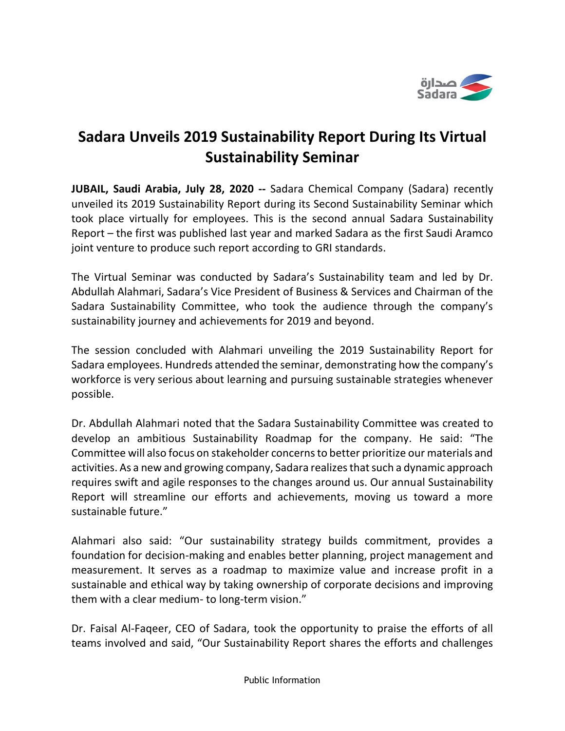

## **Sadara Unveils 2019 Sustainability Report During Its Virtual Sustainability Seminar**

**JUBAIL, Saudi Arabia, July 28, 2020 --** Sadara Chemical Company (Sadara) recently unveiled its 2019 Sustainability Report during its Second Sustainability Seminar which took place virtually for employees. This is the second annual Sadara Sustainability Report – the first was published last year and marked Sadara as the first Saudi Aramco joint venture to produce such report according to GRI standards.

The Virtual Seminar was conducted by Sadara's Sustainability team and led by Dr. Abdullah Alahmari, Sadara's Vice President of Business & Services and Chairman of the Sadara Sustainability Committee, who took the audience through the company's sustainability journey and achievements for 2019 and beyond.

The session concluded with Alahmari unveiling the 2019 Sustainability Report for Sadara employees. Hundreds attended the seminar, demonstrating how the company's workforce is very serious about learning and pursuing sustainable strategies whenever possible.

Dr. Abdullah Alahmari noted that the Sadara Sustainability Committee was created to develop an ambitious Sustainability Roadmap for the company. He said: "The Committee will also focus on stakeholder concerns to better prioritize our materials and activities. As a new and growing company, Sadara realizes that such a dynamic approach requires swift and agile responses to the changes around us. Our annual Sustainability Report will streamline our efforts and achievements, moving us toward a more sustainable future."

Alahmari also said: "Our sustainability strategy builds commitment, provides a foundation for decision-making and enables better planning, project management and measurement. It serves as a roadmap to maximize value and increase profit in a sustainable and ethical way by taking ownership of corporate decisions and improving them with a clear medium- to long-term vision."

Dr. Faisal Al-Faqeer, CEO of Sadara, took the opportunity to praise the efforts of all teams involved and said, "Our Sustainability Report shares the efforts and challenges